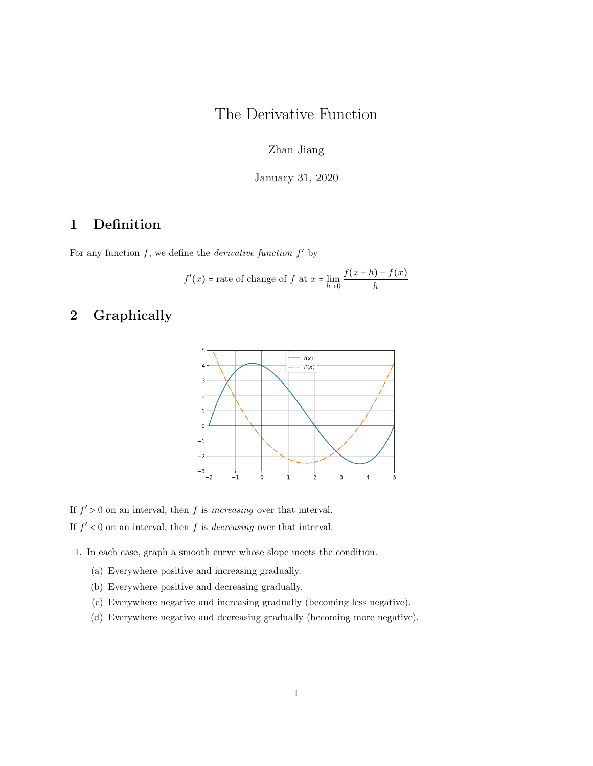## The Derivative Function

Zhan Jiang

January 31, 2020

## 1 Definition

For any function  $f$ , we define the *derivative function*  $f'$  by

$$
f'(x)
$$
 = rate of change of f at  $x = \lim_{h \to 0} \frac{f(x+h) - f(x)}{h}$ 

## 2 Graphically



If  $f' > 0$  on an interval, then f is *increasing* over that interval.

If  $f' < 0$  on an interval, then f is *decreasing* over that interval.

1. In each case, graph a smooth curve whose slope meets the condition.

- (a) Everywhere positive and increasing gradually.
- (b) Everywhere positive and decreasing gradually.
- (c) Everywhere negative and increasing gradually (becoming less negative).
- (d) Everywhere negative and decreasing gradually (becoming more negative).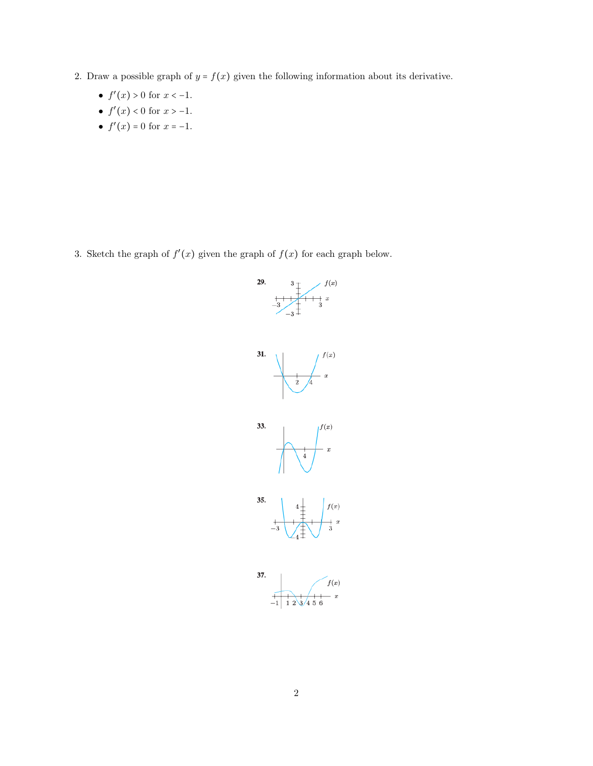- 2. Draw a possible graph of  $y = f(x)$  given the following information about its derivative.
	- $f'(x) > 0$  for  $x < -1$ .
	- $f'(x) < 0$  for  $x > -1$ .
	- $f'(x) = 0$  for  $x = -1$ .

3. Sketch the graph of  $f'(x)$  given the graph of  $f(x)$  for each graph below.

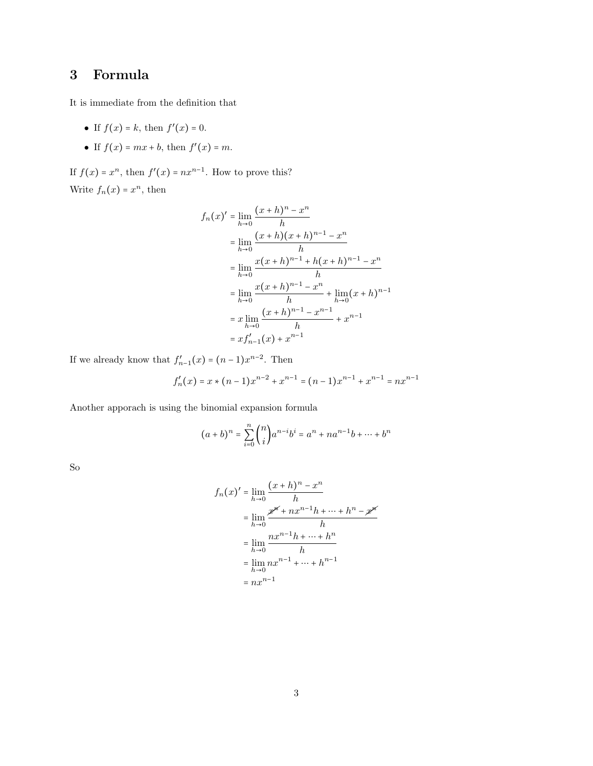## 3 Formula

It is immediate from the definition that

- If  $f(x) = k$ , then  $f'(x) = 0$ .
- If  $f(x) = mx + b$ , then  $f'(x) = m$ .

If  $f(x) = x^n$ , then  $f'(x) = nx^{n-1}$ . How to prove this? Write  $f_n(x) = x^n$ , then

$$
f_n(x)' = \lim_{h \to 0} \frac{(x+h)^n - x^n}{h}
$$
  
\n
$$
= \lim_{h \to 0} \frac{(x+h)(x+h)^{n-1} - x^n}{h}
$$
  
\n
$$
= \lim_{h \to 0} \frac{x(x+h)^{n-1} + h(x+h)^{n-1} - x^n}{h}
$$
  
\n
$$
= \lim_{h \to 0} \frac{x(x+h)^{n-1} - x^n}{h} + \lim_{h \to 0} (x+h)^{n-1}
$$
  
\n
$$
= x \lim_{h \to 0} \frac{(x+h)^{n-1} - x^{n-1}}{h} + x^{n-1}
$$
  
\n
$$
= x f'_{n-1}(x) + x^{n-1}
$$

If we already know that  $f'_{n-1}(x) = (n-1)x^{n-2}$ . Then

$$
f_n'(x) = x * (n-1)x^{n-2} + x^{n-1} = (n-1)x^{n-1} + x^{n-1} = nx^{n-1}
$$

Another apporach is using the binomial expansion formula

$$
(a+b)^n = \sum_{i=0}^n \binom{n}{i} a^{n-i} b^i = a^n + na^{n-1}b + \dots + b^n
$$

So

$$
f_n(x)' = \lim_{h \to 0} \frac{(x+h)^n - x^n}{h}
$$
  
= 
$$
\lim_{h \to 0} \frac{x^{p^k} + nx^{n-1}h + \dots + h^n - x^{p^k}}{h}
$$
  
= 
$$
\lim_{h \to 0} \frac{nx^{n-1}h + \dots + h^n}{h}
$$
  
= 
$$
\lim_{h \to 0} nx^{n-1} + \dots + h^{n-1}
$$
  
= 
$$
nx^{n-1}
$$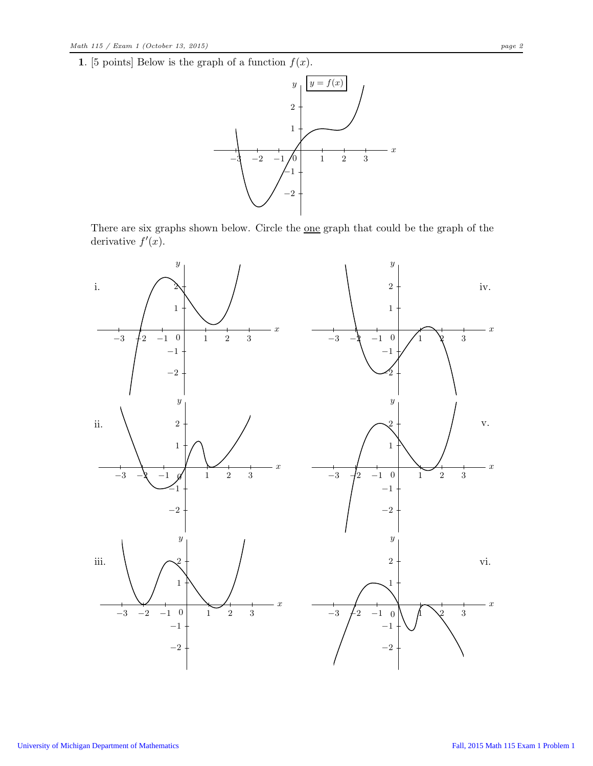1. [5 points] Below is the graph of a function  $f(x)$ .



There are six graphs shown below. Circle the <u>one</u> graph that could be the graph of the derivative  $f'(x)$ .

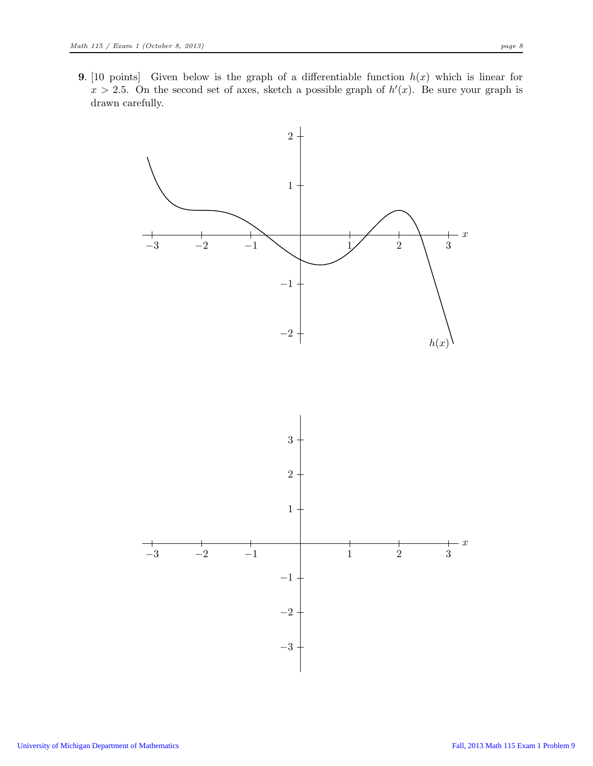**9.** [10 points] Given below is the graph of a differentiable function  $h(x)$  which is linear for  $x > 2.5$ . On the second set of axes, sketch a possible graph of  $h'(x)$ . Be sure your graph is drawn carefully.

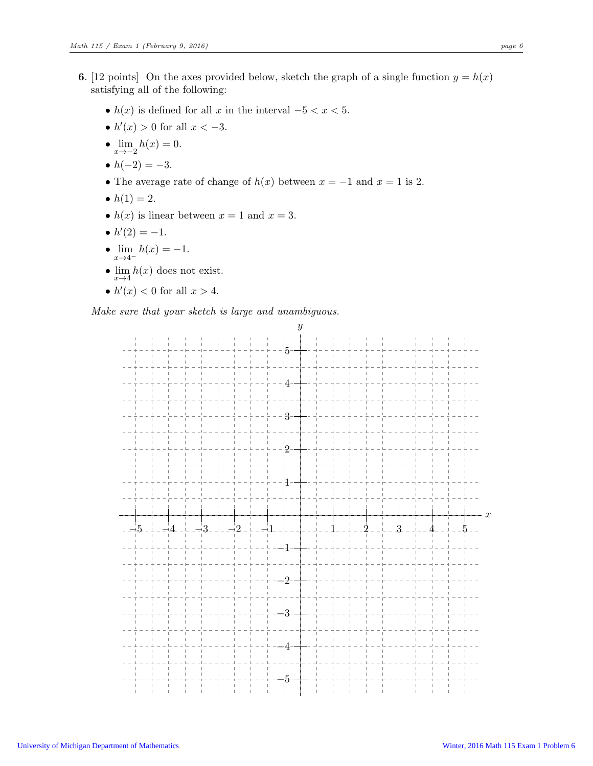- 6. [12 points] On the axes provided below, sketch the graph of a single function  $y = h(x)$ satisfying all of the following:
	- $h(x)$  is defined for all x in the interval  $-5 < x < 5$ .
	- $h'(x) > 0$  for all  $x < -3$ .
	- $\lim_{x \to -2} h(x) = 0.$
	- $h(-2) = -3$ .
	- The average rate of change of  $h(x)$  between  $x = -1$  and  $x = 1$  is 2.
	- $h(1) = 2$ .
	- $h(x)$  is linear between  $x = 1$  and  $x = 3$ .
	- $h'(2) = -1$ .
	- $\lim h(x) = -1$ .  $x\rightarrow 4^-$
	- $\lim_{x\to 4} h(x)$  does not exist.
	- $h'(x) < 0$  for all  $x > 4$ .

Make sure that your sketch is large and unambiguous.

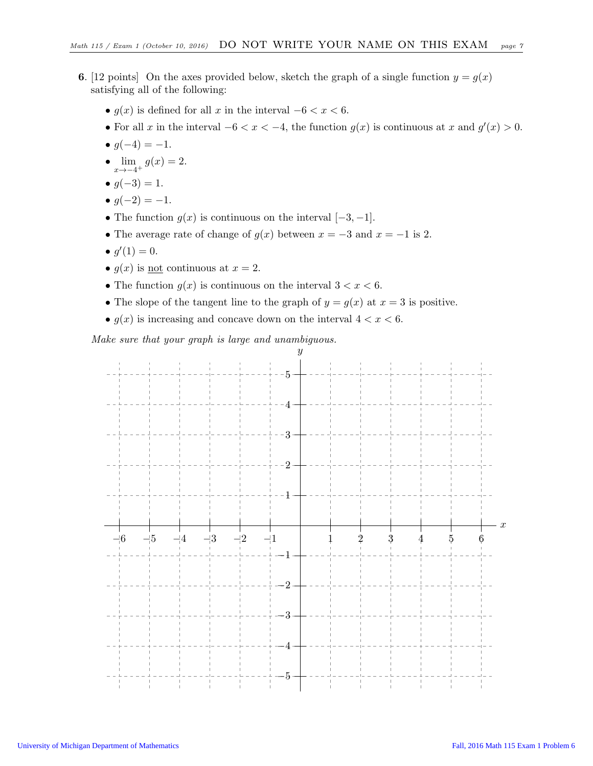- **6.** [12 points] On the axes provided below, sketch the graph of a single function  $y = g(x)$ satisfying all of the following:
	- $g(x)$  is defined for all x in the interval  $-6 < x < 6$ .
	- For all x in the interval  $-6 < x < -4$ , the function  $g(x)$  is continuous at x and  $g'(x) > 0$ .
	- $q(-4) = -1$ .
	- $\lim_{x \to -4^+} g(x) = 2.$
	- $q(-3) = 1$ .
	- $g(-2) = -1$ .
	- The function  $g(x)$  is continuous on the interval  $[-3, -1]$ .
	- The average rate of change of  $g(x)$  between  $x = -3$  and  $x = -1$  is 2.
	- $g'(1) = 0$ .
	- $q(x)$  is not continuous at  $x = 2$ .
	- The function  $g(x)$  is continuous on the interval  $3 < x < 6$ .
	- The slope of the tangent line to the graph of  $y = g(x)$  at  $x = 3$  is positive.
	- $g(x)$  is increasing and concave down on the interval  $4 < x < 6$ .

Make sure that your graph is large and unambiguous.

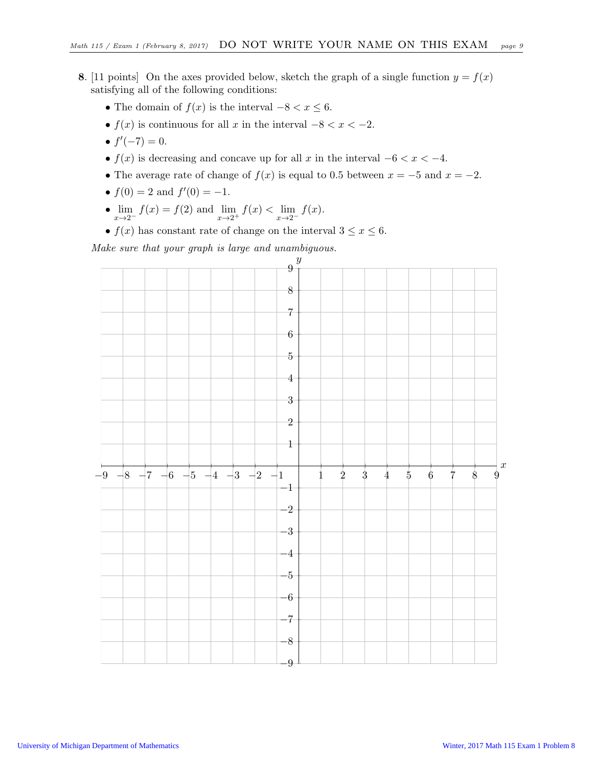- 8. [11 points] On the axes provided below, sketch the graph of a single function  $y = f(x)$ satisfying all of the following conditions:
	- The domain of  $f(x)$  is the interval  $-8 < x \leq 6$ .
	- $f(x)$  is continuous for all x in the interval  $-8 < x < -2$ .
	- $f'(-7) = 0$ .
	- $f(x)$  is decreasing and concave up for all x in the interval  $-6 < x < -4$ .
	- The average rate of change of  $f(x)$  is equal to 0.5 between  $x = -5$  and  $x = -2$ .
	- $f(0) = 2$  and  $f'(0) = -1$ .
	- $\lim_{x \to 2^{-}} f(x) = f(2)$  and  $\lim_{x \to 2^{+}} f(x) < \lim_{x \to 2^{-}} f(x)$ .
	- $f(x)$  has constant rate of change on the interval  $3 \le x \le 6$ .

Make sure that your graph is large and unambiguous.